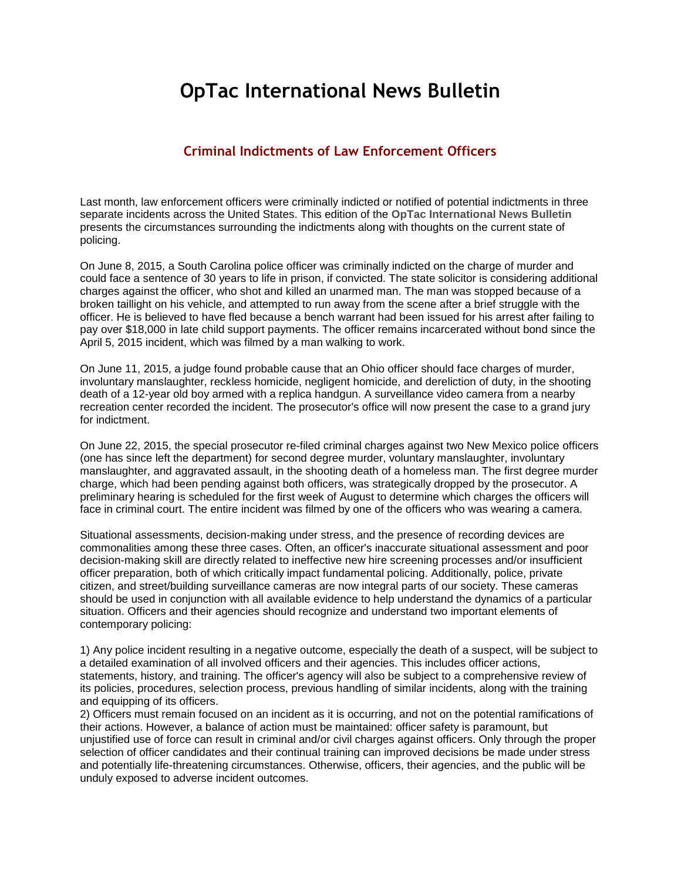## **OpTac International News Bulletin**

## **Criminal Indictments of Law Enforcement Officers**

Last month, law enforcement officers were criminally indicted or notified of potential indictments in three separate incidents across the United States. This edition of the **OpTac International News Bulletin** presents the circumstances surrounding the indictments along with thoughts on the current state of policing.

On June 8, 2015, a South Carolina police officer was criminally indicted on the charge of murder and could face a sentence of 30 years to life in prison, if convicted. The state solicitor is considering additional charges against the officer, who shot and killed an unarmed man. The man was stopped because of a broken taillight on his vehicle, and attempted to run away from the scene after a brief struggle with the officer. He is believed to have fled because a bench warrant had been issued for his arrest after failing to pay over \$18,000 in late child support payments. The officer remains incarcerated without bond since the April 5, 2015 incident, which was filmed by a man walking to work.

On June 11, 2015, a judge found probable cause that an Ohio officer should face charges of murder, involuntary manslaughter, reckless homicide, negligent homicide, and dereliction of duty, in the shooting death of a 12-year old boy armed with a replica handgun. A surveillance video camera from a nearby recreation center recorded the incident. The prosecutor's office will now present the case to a grand jury for indictment.

On June 22, 2015, the special prosecutor re-filed criminal charges against two New Mexico police officers (one has since left the department) for second degree murder, voluntary manslaughter, involuntary manslaughter, and aggravated assault, in the shooting death of a homeless man. The first degree murder charge, which had been pending against both officers, was strategically dropped by the prosecutor. A preliminary hearing is scheduled for the first week of August to determine which charges the officers will face in criminal court. The entire incident was filmed by one of the officers who was wearing a camera.

Situational assessments, decision-making under stress, and the presence of recording devices are commonalities among these three cases. Often, an officer's inaccurate situational assessment and poor decision-making skill are directly related to ineffective new hire screening processes and/or insufficient officer preparation, both of which critically impact fundamental policing. Additionally, police, private citizen, and street/building surveillance cameras are now integral parts of our society. These cameras should be used in conjunction with all available evidence to help understand the dynamics of a particular situation. Officers and their agencies should recognize and understand two important elements of contemporary policing:

1) Any police incident resulting in a negative outcome, especially the death of a suspect, will be subject to a detailed examination of all involved officers and their agencies. This includes officer actions, statements, history, and training. The officer's agency will also be subject to a comprehensive review of its policies, procedures, selection process, previous handling of similar incidents, along with the training and equipping of its officers.

2) Officers must remain focused on an incident as it is occurring, and not on the potential ramifications of their actions. However, a balance of action must be maintained: officer safety is paramount, but unjustified use of force can result in criminal and/or civil charges against officers. Only through the proper selection of officer candidates and their continual training can improved decisions be made under stress and potentially life-threatening circumstances. Otherwise, officers, their agencies, and the public will be unduly exposed to adverse incident outcomes.